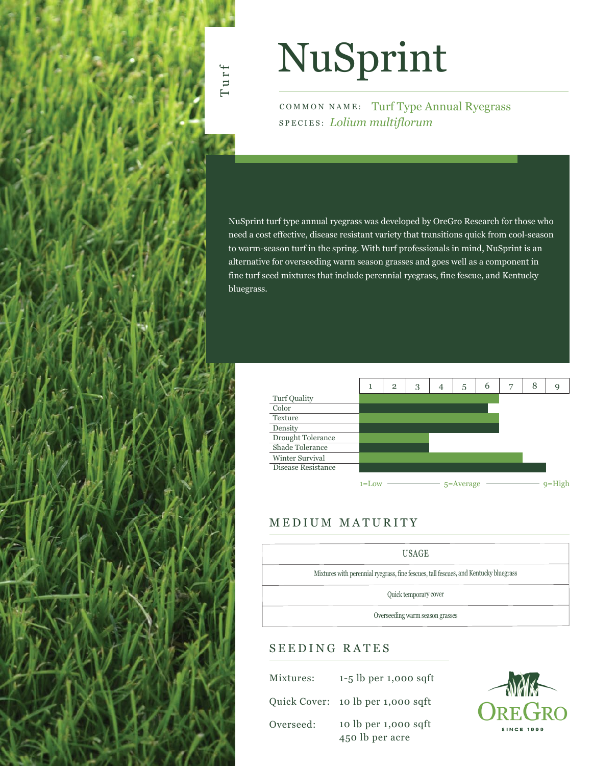# NuSprint

Turf

COMMON NAME: Turf Type Annual Ryegrass SPECIES: *Lolium multiflorum*

NuSprint turf type annual ryegrass was developed by OreGro Research for those who need a cost effective, disease resistant variety that transitions quick from cool-season to warm-season turf in the spring. With turf professionals in mind, NuSprint is an alternative for overseeding warm season grasses and goes well as a component in fine turf seed mixtures that include perennial ryegrass, fine fescue, and Kentucky bluegrass.



## MEDIUM MATURITY

| <b>USAGE</b>                                                                         |  |  |  |  |  |  |
|--------------------------------------------------------------------------------------|--|--|--|--|--|--|
| Mixtures with perennial ryegrass, fine fescues, tall fescues, and Kentucky bluegrass |  |  |  |  |  |  |
| Quick temporary cover                                                                |  |  |  |  |  |  |
| Overseeding warm season grasses                                                      |  |  |  |  |  |  |

## SEEDING RATES

| Mixtures: | $1-5$ lb per 1,000 sqft                 |
|-----------|-----------------------------------------|
|           | Quick Cover: 10 lb per 1,000 sqft       |
| Overseed: | 10 lb per 1,000 sqft<br>450 lb per acre |